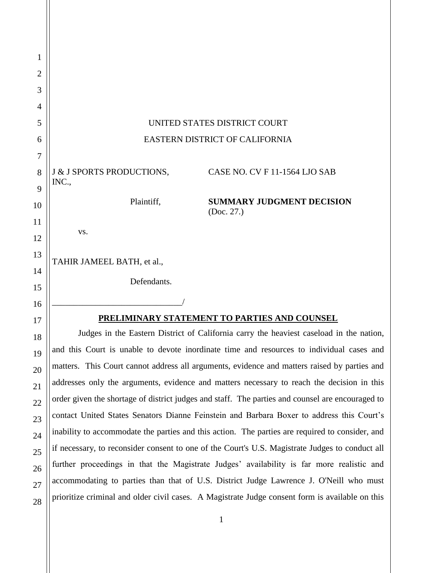| 1              |                                                                                                  |
|----------------|--------------------------------------------------------------------------------------------------|
| $\overline{2}$ |                                                                                                  |
| 3              |                                                                                                  |
| 4              |                                                                                                  |
| 5              | UNITED STATES DISTRICT COURT                                                                     |
| 6              | EASTERN DISTRICT OF CALIFORNIA                                                                   |
| 7              |                                                                                                  |
| 8              | J & J SPORTS PRODUCTIONS,<br>CASE NO. CV F 11-1564 LJO SAB                                       |
| 9              | INC.,                                                                                            |
| 10             | Plaintiff,<br><b>SUMMARY JUDGMENT DECISION</b><br>(Doc. 27.)                                     |
| 11             | VS.                                                                                              |
| 12             |                                                                                                  |
| 13             | TAHIR JAMEEL BATH, et al.,                                                                       |
| 14             | Defendants.                                                                                      |
| 15             |                                                                                                  |
| 16             |                                                                                                  |
| 17             | PRELIMINARY STATEMENT TO PARTIES AND COUNSEL                                                     |
| 18             | Judges in the Eastern District of California carry the heaviest caseload in the nation,          |
| 19             | and this Court is unable to devote inordinate time and resources to individual cases and         |
| 20             | matters. This Court cannot address all arguments, evidence and matters raised by parties and     |
| 21             | addresses only the arguments, evidence and matters necessary to reach the decision in this       |
| 22             | order given the shortage of district judges and staff. The parties and counsel are encouraged to |
| 23             | contact United States Senators Dianne Feinstein and Barbara Boxer to address this Court's        |
| 24             | inability to accommodate the parties and this action. The parties are required to consider, and  |
| 25             | if necessary, to reconsider consent to one of the Court's U.S. Magistrate Judges to conduct all  |
| 26             | further proceedings in that the Magistrate Judges' availability is far more realistic and        |
| 27             | accommodating to parties than that of U.S. District Judge Lawrence J. O'Neill who must           |
| 28             | prioritize criminal and older civil cases. A Magistrate Judge consent form is available on this  |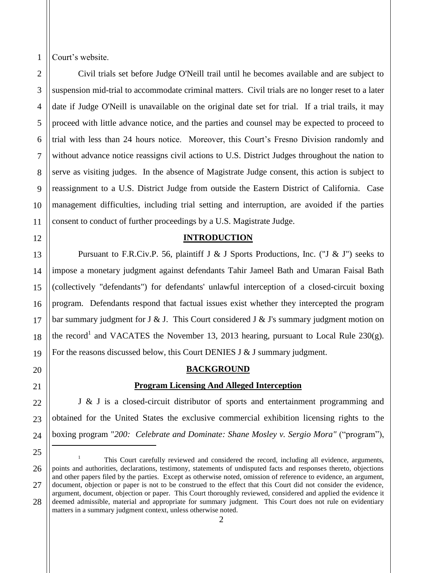Court's website.

1

Civil trials set before Judge O'Neill trail until he becomes available and are subject to suspension mid-trial to accommodate criminal matters. Civil trials are no longer reset to a later date if Judge O'Neill is unavailable on the original date set for trial. If a trial trails, it may proceed with little advance notice, and the parties and counsel may be expected to proceed to trial with less than 24 hours notice. Moreover, this Court's Fresno Division randomly and without advance notice reassigns civil actions to U.S. District Judges throughout the nation to serve as visiting judges. In the absence of Magistrate Judge consent, this action is subject to reassignment to a U.S. District Judge from outside the Eastern District of California. Case management difficulties, including trial setting and interruption, are avoided if the parties consent to conduct of further proceedings by a U.S. Magistrate Judge.

### **INTRODUCTION**

Pursuant to F.R.Civ.P. 56, plaintiff J & J Sports Productions, Inc. ("J & J") seeks to impose a monetary judgment against defendants Tahir Jameel Bath and Umaran Faisal Bath (collectively "defendants") for defendants' unlawful interception of a closed-circuit boxing program. Defendants respond that factual issues exist whether they intercepted the program bar summary judgment for J & J. This Court considered J & J's summary judgment motion on the record<sup>1</sup> and VACATES the November 13, 2013 hearing, pursuant to Local Rule 230(g). For the reasons discussed below, this Court DENIES J  $&$  J summary judgment.

### **BACKGROUND**

#### **Program Licensing And Alleged Interception**

J & J is a closed-circuit distributor of sports and entertainment programming and obtained for the United States the exclusive commercial exhibition licensing rights to the boxing program "*200: Celebrate and Dominate: Shane Mosley v. Sergio Mora"* ("program"),  $\overline{a}$ 

<sup>1</sup> This Court carefully reviewed and considered the record, including all evidence, arguments, points and authorities, declarations, testimony, statements of undisputed facts and responses thereto, objections and other papers filed by the parties. Except as otherwise noted, omission of reference to evidence, an argument, document, objection or paper is not to be construed to the effect that this Court did not consider the evidence, argument, document, objection or paper. This Court thoroughly reviewed, considered and applied the evidence it deemed admissible, material and appropriate for summary judgment. This Court does not rule on evidentiary matters in a summary judgment context, unless otherwise noted.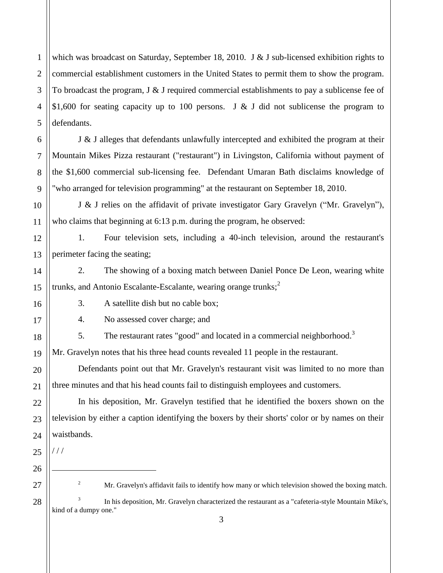1 2 3 4 5 which was broadcast on Saturday, September 18, 2010. J & J sub-licensed exhibition rights to commercial establishment customers in the United States to permit them to show the program. To broadcast the program,  $J \& J$  required commercial establishments to pay a sublicense fee of \$1,600 for seating capacity up to 100 persons. J & J did not sublicense the program to defendants.

J & J alleges that defendants unlawfully intercepted and exhibited the program at their Mountain Mikes Pizza restaurant ("restaurant") in Livingston, California without payment of the \$1,600 commercial sub-licensing fee. Defendant Umaran Bath disclaims knowledge of "who arranged for television programming" at the restaurant on September 18, 2010.

J & J relies on the affidavit of private investigator Gary Gravelyn ("Mr. Gravelyn"), who claims that beginning at 6:13 p.m. during the program, he observed:

12 13 1. Four television sets, including a 40-inch television, around the restaurant's perimeter facing the seating;

2. The showing of a boxing match between Daniel Ponce De Leon, wearing white trunks, and Antonio Escalante-Escalante, wearing orange trunks;<sup>2</sup>

6

7

8

9

10

11

14

15

16

17

18

19

20

21

22

23

24

3. A satellite dish but no cable box;

4. No assessed cover charge; and

5. The restaurant rates "good" and located in a commercial neighborhood.<sup>3</sup>

Mr. Gravelyn notes that his three head counts revealed 11 people in the restaurant.

Defendants point out that Mr. Gravelyn's restaurant visit was limited to no more than three minutes and that his head counts fail to distinguish employees and customers.

In his deposition, Mr. Gravelyn testified that he identified the boxers shown on the television by either a caption identifying the boxers by their shorts' color or by names on their waistbands.

25 26 27

 $1/1$ 

 $\overline{a}$ 

28

<sup>2</sup> Mr. Gravelyn's affidavit fails to identify how many or which television showed the boxing match.

3 In his deposition, Mr. Gravelyn characterized the restaurant as a "cafeteria-style Mountain Mike's, kind of a dumpy one."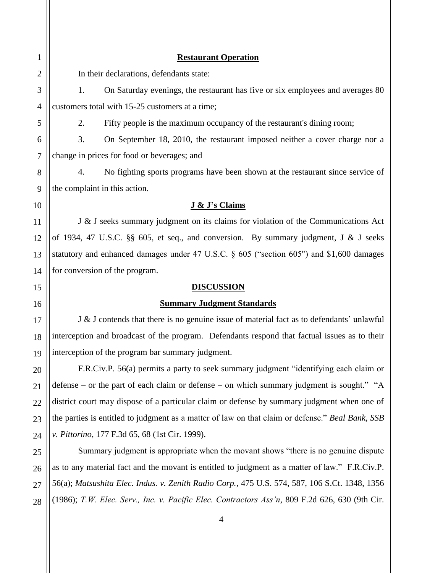## **Restaurant Operation**

In their declarations, defendants state:

1. On Saturday evenings, the restaurant has five or six employees and averages 80 customers total with 15-25 customers at a time;

2. Fifty people is the maximum occupancy of the restaurant's dining room;

3. On September 18, 2010, the restaurant imposed neither a cover charge nor a change in prices for food or beverages; and

4. No fighting sports programs have been shown at the restaurant since service of the complaint in this action.

# **J & J's Claims**

J & J seeks summary judgment on its claims for violation of the Communications Act of 1934, 47 U.S.C. §§ 605, et seq., and conversion. By summary judgment, J & J seeks statutory and enhanced damages under 47 U.S.C. § 605 ("section 605") and \$1,600 damages for conversion of the program.

# **DISCUSSION**

# **Summary Judgment Standards**

J & J contends that there is no genuine issue of material fact as to defendants' unlawful interception and broadcast of the program. Defendants respond that factual issues as to their interception of the program bar summary judgment.

F.R.Civ.P. 56(a) permits a party to seek summary judgment "identifying each claim or defense – or the part of each claim or defense – on which summary judgment is sought." "A district court may dispose of a particular claim or defense by summary judgment when one of the parties is entitled to judgment as a matter of law on that claim or defense." *Beal Bank, SSB v. Pittorino*, 177 F.3d 65, 68 (1st Cir. 1999).

Summary judgment is appropriate when the movant shows "there is no genuine dispute as to any material fact and the movant is entitled to judgment as a matter of law." F.R.Civ.P. 56(a); *Matsushita Elec. Indus. v. Zenith Radio Corp.*, 475 U.S. 574, 587, 106 S.Ct. 1348, 1356 (1986); *T.W. Elec. Serv., Inc. v. Pacific Elec. Contractors Ass'n*, 809 F.2d 626, 630 (9th Cir.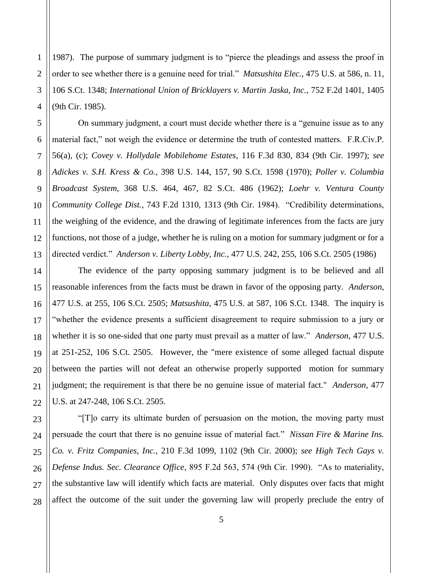1987). The purpose of summary judgment is to "pierce the pleadings and assess the proof in order to see whether there is a genuine need for trial." *Matsushita Elec.*, 475 U.S. at 586, n. 11, 106 S.Ct. 1348; *International Union of Bricklayers v. Martin Jaska, Inc.*, 752 F.2d 1401, 1405 (9th Cir. 1985).

On summary judgment, a court must decide whether there is a "genuine issue as to any material fact," not weigh the evidence or determine the truth of contested matters. F.R.Civ.P. 56(a), (c); *Covey v. Hollydale Mobilehome Estates*, 116 F.3d 830, 834 (9th Cir. 1997); *see Adickes v. S.H. Kress & Co.*, 398 U.S. 144, 157, 90 S.Ct. 1598 (1970); *Poller v. Columbia Broadcast System*, 368 U.S. 464, 467, 82 S.Ct. 486 (1962); *Loehr v. Ventura County Community College Dist.*, 743 F.2d 1310, 1313 (9th Cir. 1984). "Credibility determinations, the weighing of the evidence, and the drawing of legitimate inferences from the facts are jury functions, not those of a judge, whether he is ruling on a motion for summary judgment or for a directed verdict." *Anderson v. Liberty Lobby, Inc.*, 477 U.S. 242, 255, 106 S.Ct. 2505 (1986)

The evidence of the party opposing summary judgment is to be believed and all reasonable inferences from the facts must be drawn in favor of the opposing party. *Anderson*, 477 U.S. at 255, 106 S.Ct. 2505; *Matsushita*, 475 U.S. at 587, 106 S.Ct. 1348. The inquiry is "whether the evidence presents a sufficient disagreement to require submission to a jury or whether it is so one-sided that one party must prevail as a matter of law." *Anderson*, 477 U.S. at 251-252, 106 S.Ct. 2505. However, the "mere existence of some alleged factual dispute between the parties will not defeat an otherwise properly supported motion for summary judgment; the requirement is that there be no genuine issue of material fact." *Anderson*, 477 U.S. at 247-248, 106 S.Ct. 2505.

"[T]o carry its ultimate burden of persuasion on the motion, the moving party must persuade the court that there is no genuine issue of material fact." *Nissan Fire & Marine Ins. Co. v. Fritz Companies, Inc.*, 210 F.3d 1099, 1102 (9th Cir. 2000); *see High Tech Gays v. Defense Indus. Sec. Clearance Office*, 895 F.2d 563, 574 (9th Cir. 1990). "As to materiality, the substantive law will identify which facts are material. Only disputes over facts that might affect the outcome of the suit under the governing law will properly preclude the entry of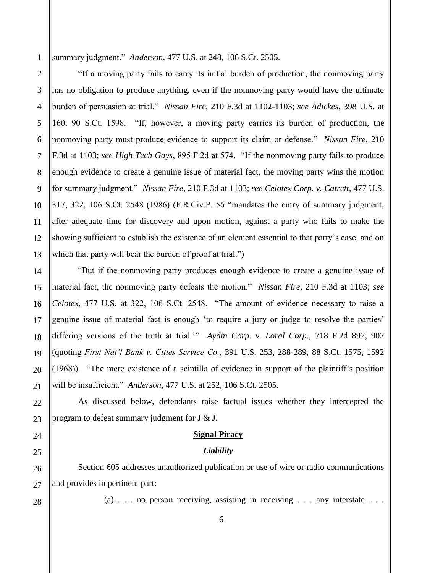1 summary judgment." *Anderson*, 477 U.S. at 248, 106 S.Ct. 2505.

"If a moving party fails to carry its initial burden of production, the nonmoving party has no obligation to produce anything, even if the nonmoving party would have the ultimate burden of persuasion at trial." *Nissan Fire*, 210 F.3d at 1102-1103; *see Adickes*, 398 U.S. at 160, 90 S.Ct. 1598. "If, however, a moving party carries its burden of production, the nonmoving party must produce evidence to support its claim or defense." *Nissan Fire*, 210 F.3d at 1103; *see High Tech Gays*, 895 F.2d at 574. "If the nonmoving party fails to produce enough evidence to create a genuine issue of material fact, the moving party wins the motion for summary judgment." *Nissan Fire*, 210 F.3d at 1103; *see Celotex Corp. v. Catrett*, 477 U.S. 317, 322, 106 S.Ct. 2548 (1986) (F.R.Civ.P. 56 "mandates the entry of summary judgment, after adequate time for discovery and upon motion, against a party who fails to make the showing sufficient to establish the existence of an element essential to that party's case, and on which that party will bear the burden of proof at trial.")

"But if the nonmoving party produces enough evidence to create a genuine issue of material fact, the nonmoving party defeats the motion." *Nissan Fire*, 210 F.3d at 1103; *see Celotex*, 477 U.S. at 322, 106 S.Ct. 2548. "The amount of evidence necessary to raise a genuine issue of material fact is enough 'to require a jury or judge to resolve the parties' differing versions of the truth at trial.'" *Aydin Corp. v. Loral Corp.*, 718 F.2d 897, 902 (quoting *First Nat'l Bank v. Cities Service Co.*, 391 U.S. 253, 288-289, 88 S.Ct. 1575, 1592 (1968)). "The mere existence of a scintilla of evidence in support of the plaintiff's position will be insufficient." *Anderson*, 477 U.S. at 252, 106 S.Ct. 2505.

As discussed below, defendants raise factual issues whether they intercepted the program to defeat summary judgment for J & J.

## **Signal Piracy**

#### *Liability*

Section 605 addresses unauthorized publication or use of wire or radio communications and provides in pertinent part:

2

3

4

5

6

7

8

9

10

11

12

13

14

15

16

17

18

19

20

21

(a) . . . no person receiving, assisting in receiving . . . any interstate . . .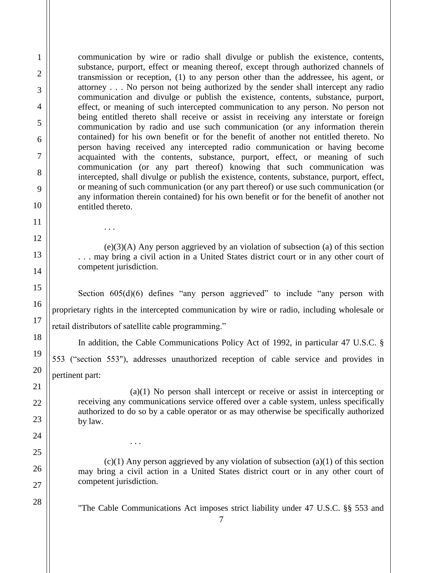communication by wire or radio shall divulge or publish the existence, contents, substance, purport, effect or meaning thereof, except through authorized channels of transmission or reception, (1) to any person other than the addressee, his agent, or attorney . . . No person not being authorized by the sender shall intercept any radio communication and divulge or publish the existence, contents, substance, purport, effect, or meaning of such intercepted communication to any person. No person not being entitled thereto shall receive or assist in receiving any interstate or foreign communication by radio and use such communication (or any information therein contained) for his own benefit or for the benefit of another not entitled thereto. No person having received any intercepted radio communication or having become acquainted with the contents, substance, purport, effect, or meaning of such communication (or any part thereof) knowing that such communication was intercepted, shall divulge or publish the existence, contents, substance, purport, effect, or meaning of such communication (or any part thereof) or use such communication (or any information therein contained) for his own benefit or for the benefit of another not entitled thereto.

1

2

3

4

5

6

7

8

9

10

11

. . .

. . .

12

13

14

15

16

17

18

19

20

21

22

23

24

25

26

27

28

(e)(3)(A) Any person aggrieved by an violation of subsection (a) of this section . . . may bring a civil action in a United States district court or in any other court of competent jurisdiction.

Section  $605(d)(6)$  defines "any person aggrieved" to include "any person with proprietary rights in the intercepted communication by wire or radio, including wholesale or retail distributors of satellite cable programming."

In addition, the Cable Communications Policy Act of 1992, in particular 47 U.S.C. §

553 ("section 553"), addresses unauthorized reception of cable service and provides in pertinent part:

(a)(1) No person shall intercept or receive or assist in intercepting or receiving any communications service offered over a cable system, unless specifically authorized to do so by a cable operator or as may otherwise be specifically authorized by law.

 $(c)(1)$  Any person aggrieved by any violation of subsection  $(a)(1)$  of this section may bring a civil action in a United States district court or in any other court of competent jurisdiction.

"The Cable Communications Act imposes strict liability under 47 U.S.C. §§ 553 and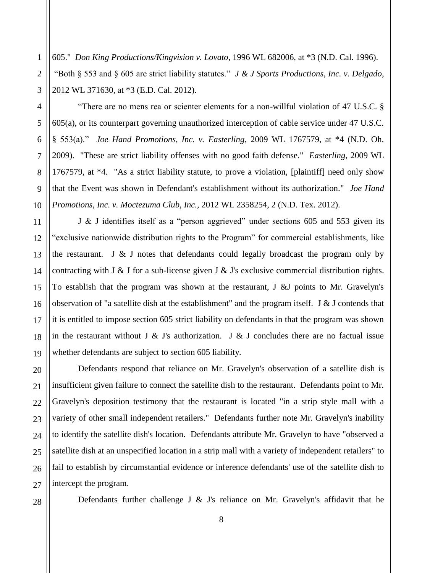605." *Don King Productions/Kingvision v. Lovato,* 1996 WL 682006, at \*3 (N.D. Cal. 1996). "Both § 553 and § 605 are strict liability statutes." *J & J Sports Productions, Inc. v. Delgado*, 2012 WL 371630, at \*3 (E.D. Cal. 2012).

"There are no mens rea or scienter elements for a non-willful violation of 47 U.S.C. § 605(a), or its counterpart governing unauthorized interception of cable service under 47 U.S.C. § 553(a)." *Joe Hand Promotions, Inc. v. Easterling*, 2009 WL 1767579, at \*4 (N.D. Oh. 2009). "These are strict liability offenses with no good faith defense." *Easterling*, 2009 WL 1767579, at \*4. "As a strict liability statute, to prove a violation, [plaintiff] need only show that the Event was shown in Defendant's establishment without its authorization." *Joe Hand Promotions, Inc. v. Moctezuma Club, Inc.,* 2012 WL 2358254, 2 (N.D. Tex. 2012).

J & J identifies itself as a "person aggrieved" under sections 605 and 553 given its "exclusive nationwide distribution rights to the Program" for commercial establishments, like the restaurant. J  $\&$  J notes that defendants could legally broadcast the program only by contracting with J & J for a sub-license given J & J's exclusive commercial distribution rights. To establish that the program was shown at the restaurant, J &J points to Mr. Gravelyn's observation of "a satellite dish at the establishment" and the program itself. J & J contends that it is entitled to impose section 605 strict liability on defendants in that the program was shown in the restaurant without J & J's authorization. J & J concludes there are no factual issue whether defendants are subject to section 605 liability.

Defendants respond that reliance on Mr. Gravelyn's observation of a satellite dish is insufficient given failure to connect the satellite dish to the restaurant. Defendants point to Mr. Gravelyn's deposition testimony that the restaurant is located "in a strip style mall with a variety of other small independent retailers." Defendants further note Mr. Gravelyn's inability to identify the satellite dish's location. Defendants attribute Mr. Gravelyn to have "observed a satellite dish at an unspecified location in a strip mall with a variety of independent retailers" to fail to establish by circumstantial evidence or inference defendants' use of the satellite dish to intercept the program.

Defendants further challenge J  $\&$  J's reliance on Mr. Gravelyn's affidavit that he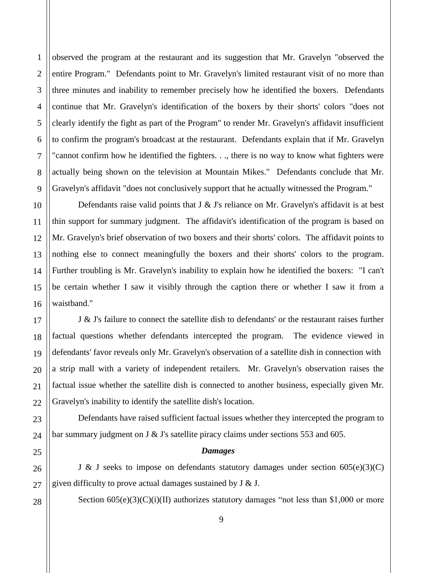observed the program at the restaurant and its suggestion that Mr. Gravelyn "observed the entire Program." Defendants point to Mr. Gravelyn's limited restaurant visit of no more than three minutes and inability to remember precisely how he identified the boxers. Defendants continue that Mr. Gravelyn's identification of the boxers by their shorts' colors "does not clearly identify the fight as part of the Program" to render Mr. Gravelyn's affidavit insufficient to confirm the program's broadcast at the restaurant. Defendants explain that if Mr. Gravelyn "cannot confirm how he identified the fighters. . ., there is no way to know what fighters were actually being shown on the television at Mountain Mikes." Defendants conclude that Mr. Gravelyn's affidavit "does not conclusively support that he actually witnessed the Program."

Defendants raise valid points that J & J's reliance on Mr. Gravelyn's affidavit is at best thin support for summary judgment. The affidavit's identification of the program is based on Mr. Gravelyn's brief observation of two boxers and their shorts' colors. The affidavit points to nothing else to connect meaningfully the boxers and their shorts' colors to the program. Further troubling is Mr. Gravelyn's inability to explain how he identified the boxers: "I can't be certain whether I saw it visibly through the caption there or whether I saw it from a waistband."

J & J's failure to connect the satellite dish to defendants' or the restaurant raises further factual questions whether defendants intercepted the program. The evidence viewed in defendants' favor reveals only Mr. Gravelyn's observation of a satellite dish in connection with a strip mall with a variety of independent retailers. Mr. Gravelyn's observation raises the factual issue whether the satellite dish is connected to another business, especially given Mr. Gravelyn's inability to identify the satellite dish's location.

Defendants have raised sufficient factual issues whether they intercepted the program to bar summary judgment on J & J's satellite piracy claims under sections 553 and 605.

#### *Damages*

J & J seeks to impose on defendants statutory damages under section  $605(e)(3)(C)$ given difficulty to prove actual damages sustained by  $J \& J$ .

Section  $605(e)(3)(C)(i)(II)$  authorizes statutory damages "not less than \$1,000 or more

1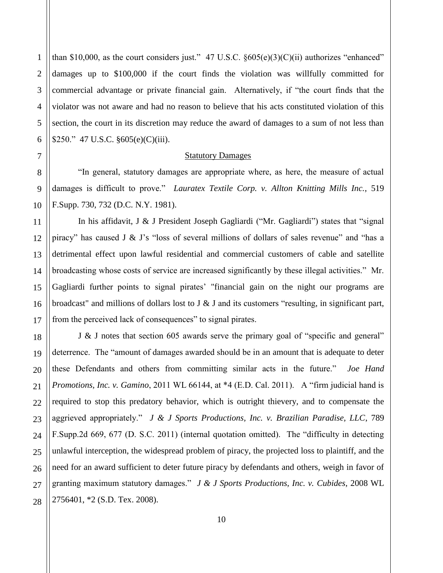than \$10,000, as the court considers just." 47 U.S.C.  $§605(e)(3)(C)(ii)$  authorizes "enhanced" damages up to \$100,000 if the court finds the violation was willfully committed for commercial advantage or private financial gain. Alternatively, if "the court finds that the violator was not aware and had no reason to believe that his acts constituted violation of this section, the court in its discretion may reduce the award of damages to a sum of not less than \$250." 47 U.S.C. §605(e)(C)(iii).

### Statutory Damages

 "In general, statutory damages are appropriate where, as here, the measure of actual damages is difficult to prove." *Lauratex Textile Corp. v. Allton Knitting Mills Inc.*, 519 F.Supp. 730, 732 (D.C. N.Y. 1981).

In his affidavit, J & J President Joseph Gagliardi ("Mr. Gagliardi") states that "signal piracy" has caused J & J's "loss of several millions of dollars of sales revenue" and "has a detrimental effect upon lawful residential and commercial customers of cable and satellite broadcasting whose costs of service are increased significantly by these illegal activities." Mr. Gagliardi further points to signal pirates' "financial gain on the night our programs are broadcast" and millions of dollars lost to J  $\&$  J and its customers "resulting, in significant part, from the perceived lack of consequences" to signal pirates.

J & J notes that section 605 awards serve the primary goal of "specific and general" deterrence. The "amount of damages awarded should be in an amount that is adequate to deter these Defendants and others from committing similar acts in the future." *Joe Hand Promotions, Inc. v. Gamino*, 2011 WL 66144, at \*4 (E.D. Cal. 2011). A "firm judicial hand is required to stop this predatory behavior, which is outright thievery, and to compensate the aggrieved appropriately." *J & J Sports Productions, Inc. v. Brazilian Paradise, LLC*, 789 F.Supp.2d 669, 677 (D. S.C. 2011) (internal quotation omitted). The "difficulty in detecting unlawful interception, the widespread problem of piracy, the projected loss to plaintiff, and the need for an award sufficient to deter future piracy by defendants and others, weigh in favor of granting maximum statutory damages." *J & J Sports Productions, Inc. v. Cubides*, 2008 WL 2756401, \*2 (S.D. Tex. 2008).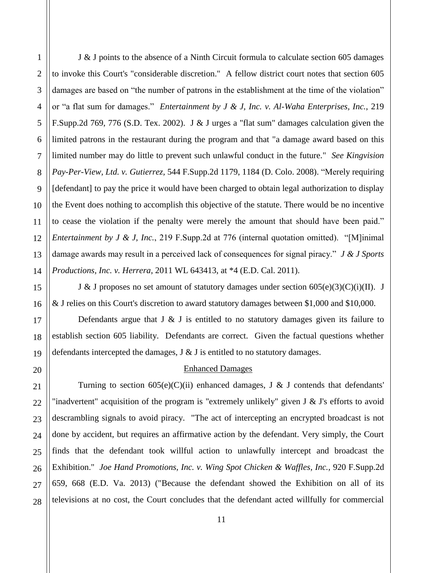1

2

J & J points to the absence of a Ninth Circuit formula to calculate section 605 damages to invoke this Court's "considerable discretion." A fellow district court notes that section 605 damages are based on "the number of patrons in the establishment at the time of the violation" or "a flat sum for damages." *Entertainment by J & J, Inc. v. Al-Waha Enterprises, Inc.*, 219 F.Supp.2d 769, 776 (S.D. Tex. 2002). J & J urges a "flat sum" damages calculation given the limited patrons in the restaurant during the program and that "a damage award based on this limited number may do little to prevent such unlawful conduct in the future." *See Kingvision Pay-Per-View, Ltd. v. Gutierrez,* 544 F.Supp.2d 1179, 1184 (D. Colo. 2008). "Merely requiring [defendant] to pay the price it would have been charged to obtain legal authorization to display the Event does nothing to accomplish this objective of the statute. There would be no incentive to cease the violation if the penalty were merely the amount that should have been paid." *Entertainment by J & J, Inc.*, 219 F.Supp.2d at 776 (internal quotation omitted). "[M]inimal damage awards may result in a perceived lack of consequences for signal piracy." *J & J Sports Productions, Inc. v. Herrera*, 2011 WL 643413, at \*4 (E.D. Cal. 2011).

J & J proposes no set amount of statutory damages under section  $605(e)(3)(C)(i)(II)$ . J & J relies on this Court's discretion to award statutory damages between \$1,000 and \$10,000.

Defendants argue that  $J \& J$  is entitled to no statutory damages given its failure to establish section 605 liability. Defendants are correct. Given the factual questions whether defendants intercepted the damages, J & J is entitled to no statutory damages.

## Enhanced Damages

Turning to section  $605(e)(C)(ii)$  enhanced damages, J & J contends that defendants' "inadvertent" acquisition of the program is "extremely unlikely" given J & J's efforts to avoid descrambling signals to avoid piracy. "The act of intercepting an encrypted broadcast is not done by accident, but requires an affirmative action by the defendant. Very simply, the Court finds that the defendant took willful action to unlawfully intercept and broadcast the Exhibition." *Joe Hand Promotions, Inc. v. Wing Spot Chicken & Waffles, Inc., 920 F.Supp.2d* 659, 668 (E.D. Va. 2013) ("Because the defendant showed the Exhibition on all of its televisions at no cost, the Court concludes that the defendant acted willfully for commercial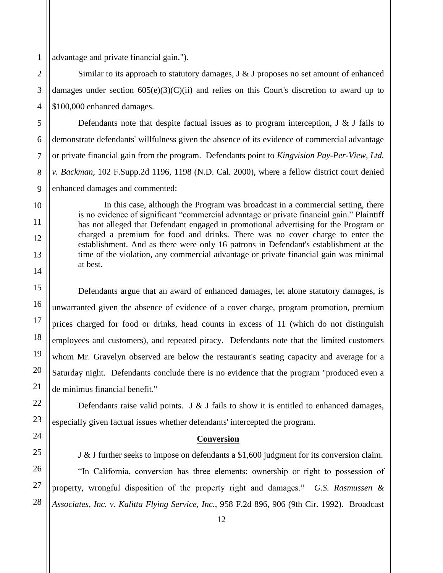advantage and private financial gain.").

Similar to its approach to statutory damages,  $J \& J$  proposes no set amount of enhanced damages under section  $605(e)(3)(C)(ii)$  and relies on this Court's discretion to award up to \$100,000 enhanced damages.

Defendants note that despite factual issues as to program interception,  $J \& J$  fails to demonstrate defendants' willfulness given the absence of its evidence of commercial advantage or private financial gain from the program. Defendants point to *Kingvision Pay-Per-View, Ltd. v. Backman,* 102 F.Supp.2d 1196, 1198 (N.D. Cal. 2000), where a fellow district court denied enhanced damages and commented:

In this case, although the Program was broadcast in a commercial setting, there is no evidence of significant "commercial advantage or private financial gain." Plaintiff has not alleged that Defendant engaged in promotional advertising for the Program or charged a premium for food and drinks. There was no cover charge to enter the establishment. And as there were only 16 patrons in Defendant's establishment at the time of the violation, any commercial advantage or private financial gain was minimal at best.

Defendants argue that an award of enhanced damages, let alone statutory damages, is unwarranted given the absence of evidence of a cover charge, program promotion, premium prices charged for food or drinks, head counts in excess of 11 (which do not distinguish employees and customers), and repeated piracy. Defendants note that the limited customers whom Mr. Gravelyn observed are below the restaurant's seating capacity and average for a Saturday night. Defendants conclude there is no evidence that the program "produced even a de minimus financial benefit."

Defendants raise valid points. J  $&$  J fails to show it is entitled to enhanced damages, especially given factual issues whether defendants' intercepted the program.

## **Conversion**

J & J further seeks to impose on defendants a \$1,600 judgment for its conversion claim.

"In California, conversion has three elements: ownership or right to possession of property, wrongful disposition of the property right and damages." *G.S. Rasmussen & Associates, Inc. v. Kalitta Flying Service, Inc.*, 958 F.2d 896, 906 (9th Cir. 1992). Broadcast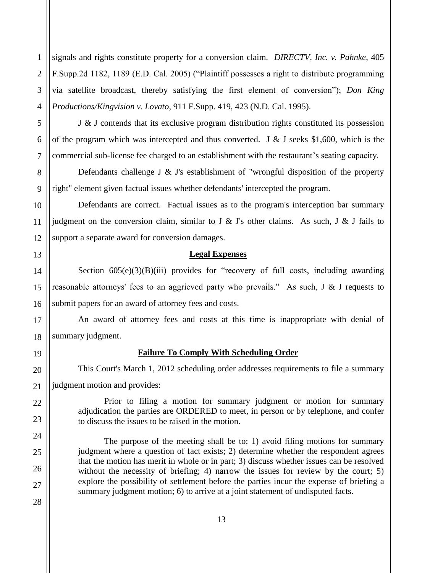signals and rights constitute property for a conversion claim. *DIRECTV, Inc. v. Pahnke*, 405 F.Supp.2d 1182, 1189 (E.D. Cal. 2005) ("Plaintiff possesses a right to distribute programming via satellite broadcast, thereby satisfying the first element of conversion"); *Don King Productions/Kingvision v. Lovato*, 911 F.Supp. 419, 423 (N.D. Cal. 1995).

J & J contends that its exclusive program distribution rights constituted its possession of the program which was intercepted and thus converted. J  $\&$  J seeks \$1,600, which is the commercial sub-license fee charged to an establishment with the restaurant's seating capacity.

Defendants challenge J  $\&$  J's establishment of "wrongful disposition of the property right" element given factual issues whether defendants' intercepted the program.

Defendants are correct. Factual issues as to the program's interception bar summary judgment on the conversion claim, similar to J  $\&$  J's other claims. As such, J  $\&$  J fails to support a separate award for conversion damages.

## **Legal Expenses**

Section  $605(e)(3)(B)(iii)$  provides for "recovery of full costs, including awarding reasonable attorneys' fees to an aggrieved party who prevails." As such, J & J requests to submit papers for an award of attorney fees and costs.

An award of attorney fees and costs at this time is inappropriate with denial of summary judgment.

# **Failure To Comply With Scheduling Order**

This Court's March 1, 2012 scheduling order addresses requirements to file a summary judgment motion and provides:

Prior to filing a motion for summary judgment or motion for summary adjudication the parties are ORDERED to meet, in person or by telephone, and confer to discuss the issues to be raised in the motion.

The purpose of the meeting shall be to: 1) avoid filing motions for summary judgment where a question of fact exists; 2) determine whether the respondent agrees that the motion has merit in whole or in part; 3) discuss whether issues can be resolved without the necessity of briefing; 4) narrow the issues for review by the court; 5) explore the possibility of settlement before the parties incur the expense of briefing a summary judgment motion; 6) to arrive at a joint statement of undisputed facts.

1